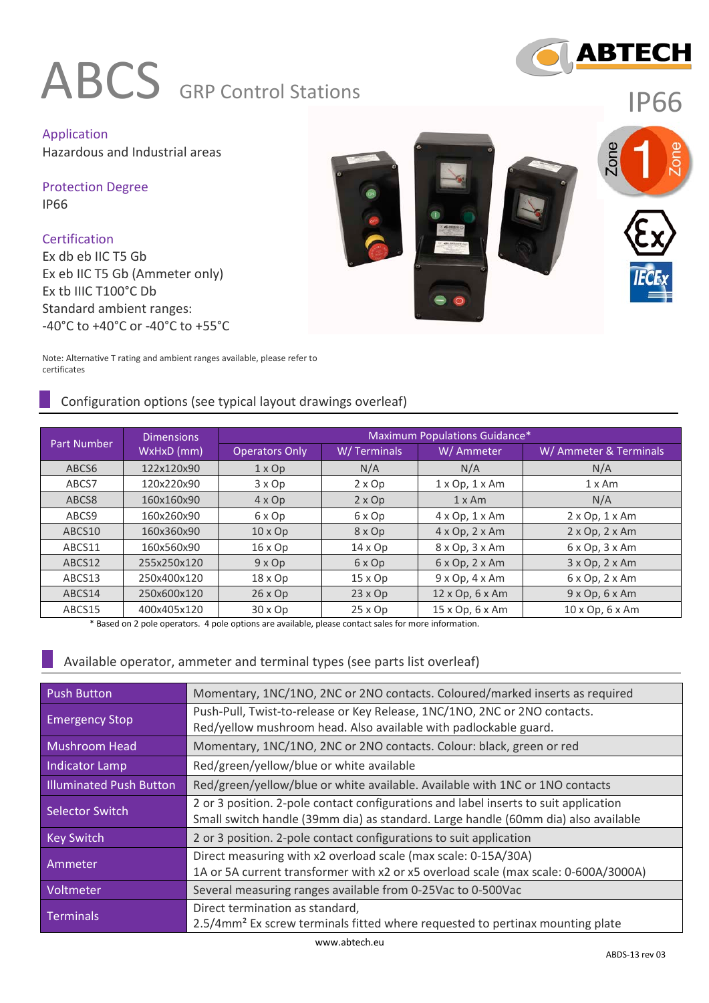# ABCS **GRP** Control Stations



IP66

Application Hazardous and Industrial areas

Protection Degree IP66

**Certification** Ex db eb IIC T5 Gb Ex eb IIC T5 Gb (Ammeter only) Ex tb IIIC T100°C Db Standard ambient ranges: -40°C to +40°C or -40°C to +55°C



Note: Alternative T rating and ambient ranges available, please refer to certificates

# Configuration options (see typical layout drawings overleaf)

|             | <b>Dimensions</b> | Maximum Populations Guidance* |                |                               |                               |  |  |  |
|-------------|-------------------|-------------------------------|----------------|-------------------------------|-------------------------------|--|--|--|
| Part Number | WxHxD (mm)        | <b>Operators Only</b>         | W/Terminals    | W/ Ammeter                    | W/ Ammeter & Terminals        |  |  |  |
| ABCS6       | 122x120x90        | $1 \times Op$                 | N/A            | N/A                           | N/A                           |  |  |  |
| ABCS7       | 120x220x90        | 3 x Op                        | $2 \times Op$  | $1 \times$ Op, $1 \times$ Am  | $1 \times$ Am                 |  |  |  |
| ABCS8       | 160x160x90        | $4 \times Op$                 | $2 \times Op$  | $1 \times$ Am                 | N/A                           |  |  |  |
| ABCS9       | 160x260x90        | 6 x Op                        | 6 x Op         | $4 \times Op$ , $1 \times Am$ | $2 \times Op$ , $1 \times Am$ |  |  |  |
| ABCS10      | 160x360x90        | $10 \times Op$                | 8 x Op         | $4 \times$ Op, $2 \times$ Am  | $2 \times Op$ , $2 \times Am$ |  |  |  |
| ABCS11      | 160x560x90        | $16 \times Op$                | $14 \times Op$ | 8 x Op, 3 x Am                | $6 \times$ Op, $3 \times$ Am  |  |  |  |
| ABCS12      | 255x250x120       | $9 \times Op$                 | 6 x Op         | $6 \times$ Op, $2 \times$ Am  | $3 \times$ Op, $2 \times$ Am  |  |  |  |
| ABCS13      | 250x400x120       | $18 \times Op$                | $15 \times Op$ | $9 \times Op$ , $4 \times Am$ | $6 \times$ Op, $2 \times$ Am  |  |  |  |
| ABCS14      | 250x600x120       | $26 \times Op$                | $23 \times Op$ | $12 \times$ Op, 6 $\times$ Am | $9x$ Op, $6x$ Am              |  |  |  |
| ABCS15      | 400x405x120       | $30 \times Op$                | $25 \times Op$ | 15 x Op, 6 x Am               | 10 x Op, 6 x Am               |  |  |  |

\* Based on 2 pole operators. 4 pole options are available, please contact sales for more information.

#### Available operator, ammeter and terminal types (see parts list overleaf)

| <b>Push Button</b>                                                                    | Momentary, 1NC/1NO, 2NC or 2NO contacts. Coloured/marked inserts as required              |  |  |
|---------------------------------------------------------------------------------------|-------------------------------------------------------------------------------------------|--|--|
| <b>Emergency Stop</b>                                                                 | Push-Pull, Twist-to-release or Key Release, 1NC/1NO, 2NC or 2NO contacts.                 |  |  |
|                                                                                       | Red/yellow mushroom head. Also available with padlockable guard.                          |  |  |
| Momentary, 1NC/1NO, 2NC or 2NO contacts. Colour: black, green or red<br>Mushroom Head |                                                                                           |  |  |
| Indicator Lamp                                                                        | Red/green/yellow/blue or white available                                                  |  |  |
| <b>Illuminated Push Button</b>                                                        | Red/green/yellow/blue or white available. Available with 1NC or 1NO contacts              |  |  |
| Selector Switch                                                                       | 2 or 3 position. 2-pole contact configurations and label inserts to suit application      |  |  |
|                                                                                       | Small switch handle (39mm dia) as standard. Large handle (60mm dia) also available        |  |  |
| <b>Key Switch</b>                                                                     | 2 or 3 position. 2-pole contact configurations to suit application                        |  |  |
| Ammeter                                                                               | Direct measuring with x2 overload scale (max scale: 0-15A/30A)                            |  |  |
|                                                                                       | 1A or 5A current transformer with x2 or x5 overload scale (max scale: 0-600A/3000A)       |  |  |
| Voltmeter                                                                             | Several measuring ranges available from 0-25Vac to 0-500Vac                               |  |  |
| Terminals                                                                             | Direct termination as standard,                                                           |  |  |
|                                                                                       | 2.5/4mm <sup>2</sup> Ex screw terminals fitted where requested to pertinax mounting plate |  |  |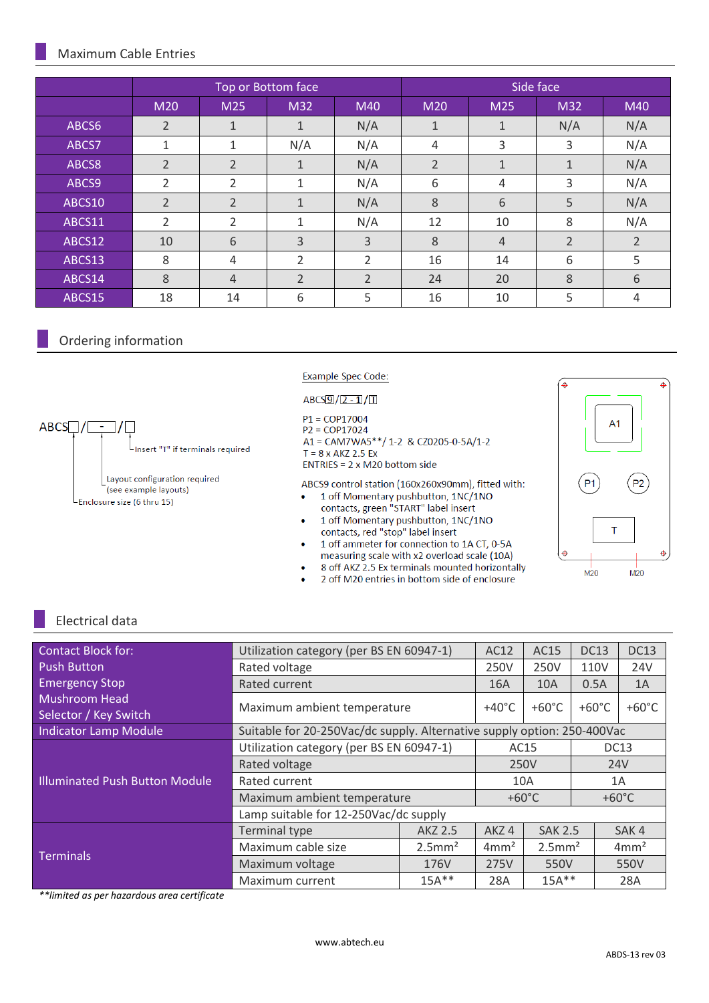#### Maximum Cable Entries

|        |                |                | Top or Bottom face |                | Side face      |                |                |                |
|--------|----------------|----------------|--------------------|----------------|----------------|----------------|----------------|----------------|
|        | M20            | M25            | M32                | M40            | M20            | M25            | M32            | M40            |
| ABCS6  | $\overline{2}$ | $\mathbf{1}$   | 1                  | N/A            | 1              | 1              | N/A            | N/A            |
| ABCS7  | 1              | 1              | N/A                | N/A            | 4              | 3              | 3              | N/A            |
| ABCS8  | $\overline{2}$ | $\overline{2}$ | $\mathbf{1}$       | N/A            | $\overline{2}$ | $\mathbf{1}$   | $\mathbf{1}$   | N/A            |
| ABCS9  | $\overline{2}$ | 2              | 1                  | N/A            | 6              | 4              | 3              | N/A            |
| ABCS10 | $\overline{2}$ | $\overline{2}$ | $\mathbf{1}$       | N/A            | 8              | 6              | 5              | N/A            |
| ABCS11 | $\overline{2}$ | 2              | 1                  | N/A            | 12             | 10             | 8              | N/A            |
| ABCS12 | 10             | 6              | 3                  | 3              | 8              | $\overline{4}$ | $\overline{2}$ | $\overline{2}$ |
| ABCS13 | 8              | 4              | $\overline{2}$     | 2              | 16             | 14             | 6              | 5              |
| ABCS14 | 8              | $\overline{4}$ | $\overline{2}$     | $\overline{2}$ | 24             | 20             | 8              | 6              |
| ABCS15 | 18             | 14             | 6                  | 5              | 16             | 10             | 5              | 4              |

#### Ordering information

Example Spec Code:

 $ABCS9/2-1/1$ 

 $P1 = COP17004$  $P2 = COP17024$ A1 = CAM7WA5\*\*/ 1-2 & CZ0205-0-5A/1-2  $T = 8 \times AKZ$  2.5 Ex ENTRIES = 2 x M20 bottom side

ABCS9 control station (160x260x90mm), fitted with: 1 off Momentary pushbutton, 1NC/1NO  $\bullet$ 

- contacts, green "START" label insert 1 off Momentary pushbutton, 1NC/1NO  $\bullet$
- contacts, red "stop" label insert 1 off ammeter for connection to 1A CT, 0-5A
- measuring scale with x2 overload scale (10A)
- 8 off AKZ 2.5 Ex terminals mounted horizontally
- 2 off M20 entries in bottom side of enclosure



# Electrical data

| <b>Contact Block for:</b>                     | Utilization category (per BS EN 60947-1)                                |                       | AC12                                    | AC15                  | <b>DC13</b>     | <b>DC13</b>      |
|-----------------------------------------------|-------------------------------------------------------------------------|-----------------------|-----------------------------------------|-----------------------|-----------------|------------------|
| <b>Push Button</b>                            | Rated voltage                                                           |                       | 250V                                    | 250V                  | 110V            | 24V              |
| <b>Emergency Stop</b>                         | Rated current                                                           |                       | 16A                                     | <b>10A</b>            | 0.5A            | 1A               |
| <b>Mushroom Head</b><br>Selector / Key Switch | Maximum ambient temperature                                             | $+40^{\circ}$ C       | $+60^{\circ}$ C                         | $+60^{\circ}$ C       | $+60^{\circ}$ C |                  |
| <b>Indicator Lamp Module</b>                  | Suitable for 20-250Vac/dc supply. Alternative supply option: 250-400Vac |                       |                                         |                       |                 |                  |
|                                               | Utilization category (per BS EN 60947-1)                                | AC15                  |                                         |                       | <b>DC13</b>     |                  |
|                                               | Rated voltage                                                           | 250V                  |                                         | <b>24V</b>            |                 |                  |
| <b>Illuminated Push Button Module</b>         | Rated current                                                           | 10A                   |                                         |                       | 1A              |                  |
|                                               | Maximum ambient temperature                                             | $+60^{\circ}$ C       |                                         | $+60^{\circ}$ C       |                 |                  |
|                                               | Lamp suitable for 12-250Vac/dc supply                                   |                       | AKZ4<br>4mm <sup>2</sup><br>275V<br>28A |                       |                 |                  |
|                                               | <b>Terminal type</b>                                                    | AKZ 2.5               |                                         | <b>SAK 2.5</b>        |                 | SAK4             |
| <b>Terminals</b>                              | Maximum cable size                                                      | $2.5$ mm <sup>2</sup> |                                         | $2.5$ mm <sup>2</sup> |                 | 4mm <sup>2</sup> |
|                                               | Maximum voltage                                                         | 176V                  |                                         | 550V                  |                 | 550V             |
|                                               | Maximum current                                                         | $15A***$              |                                         | $15A***$              |                 | 28A              |

*\*\*limited as per hazardous area certificate*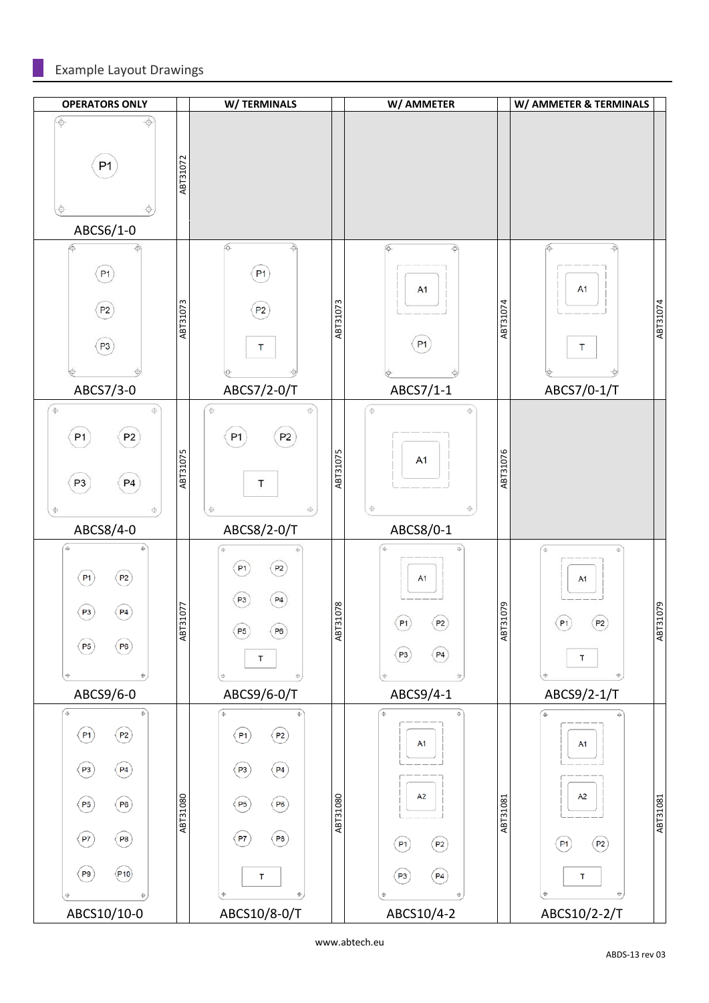# Example Layout Drawings

| <b>OPERATORS ONLY</b>                                                                                                             |          | W/TERMINALS                                                                                                                 |          | W/ AMMETER                                                                                                |          | W/ AMMETER & TERMINALS                                                           |          |
|-----------------------------------------------------------------------------------------------------------------------------------|----------|-----------------------------------------------------------------------------------------------------------------------------|----------|-----------------------------------------------------------------------------------------------------------|----------|----------------------------------------------------------------------------------|----------|
| $\phi$<br>-0<br>P1<br>ABCS6/1-0                                                                                                   | ABT31072 |                                                                                                                             |          |                                                                                                           |          |                                                                                  |          |
| ю<br>P1<br>(P2)<br>(P3)<br>ABCS7/3-0                                                                                              | ABT31073 | के<br>6<br>P <sub>1</sub><br>(P2)<br>T<br>ABCS7/2-0/T                                                                       | ABT31073 | 6<br>÷<br>A <sub>1</sub><br>(P1)<br>ABCS7/1-1                                                             | ABT31074 | -Ò<br>6<br>A <sub>1</sub><br>$\top$<br>ABCS7/0-1/T                               | ABT31074 |
| $\Phi$<br>$\oplus$<br>P <sub>2</sub><br>P1<br>P4<br>P <sub>3</sub><br>$\ddot{\Phi}$<br>$\oplus$                                   | ABT31075 | $\oplus$<br>$\oplus$<br>P2<br>P1<br>T<br>$\oplus$<br>$\oplus$                                                               | ABT31075 | $\oplus$<br>$\oplus$<br>A <sub>1</sub><br>$\oplus$<br>$\oplus$                                            | ABT31076 |                                                                                  |          |
| ABCS8/4-0<br>Φ<br>(P2)<br>(P1)<br>P3<br>P4<br>P6<br>(P5)<br>Φ<br>ABCS9/6-0                                                        | ABT31077 | ABCS8/2-0/T<br>(P2)<br>P1<br>(P4)<br>P3<br>P5<br>( P6)<br>T<br>ABCS9/6-0/T                                                  | ABT31078 | ABCS8/0-1<br>$_\oplus$<br>$\oplus$<br>A1<br>P1<br>P <sub>2</sub><br>P4<br>P3<br>0<br>ABCS9/4-1            | ABT31079 | $\oplus$<br>$\oplus$<br>A <sub>1</sub><br>(P2)<br>(P1)<br>T<br>ABCS9/2-1/T       | ABT31079 |
| $\oplus$<br>(P2)<br>$($ P1 $)$<br>(P3)<br>$\binom{p_4}{ }$<br>(P5)<br>(P6)<br>(P7)<br>(P8)<br>( P 9)<br>(P10)<br>Φ<br>ABCS10/10-0 | ABT31080 | Ф<br>(P2)<br>(P1)<br>(P4)<br>(P3)<br>$\left(\overline{P6}\right)$<br>(P5)<br>$($ P7 $)$<br>( P 8)<br>т<br>Ф<br>ABCS10/8-0/T | ABT31080 | $\oplus$<br>Ф<br>A1<br>A <sub>2</sub><br>$\left( P_{2}\right)$<br>(P1)<br>(P4)<br>(P3)<br>⊕<br>ABCS10/4-2 | ABT31081 | $\Rightarrow$<br>A1<br>A <sub>2</sub><br>$($ P1 $)$<br>(P2)<br>т<br>ABCS10/2-2/T | ABT31081 |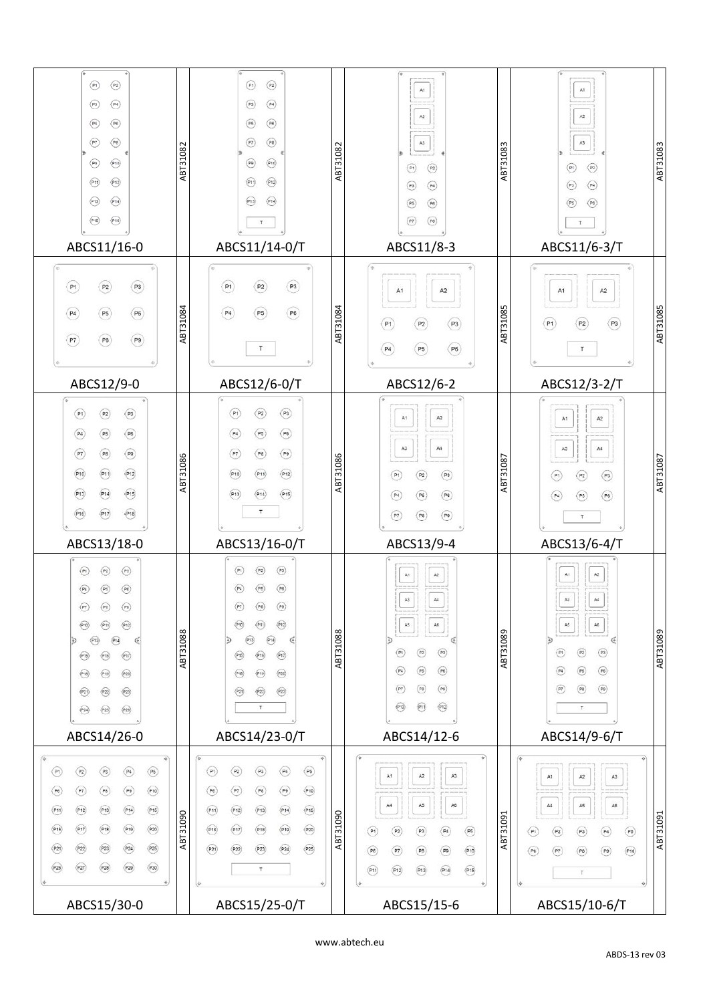| $\odot$<br>$\odot$<br>$\circledcirc$<br>$\circled{P}$<br>$\circledcirc$<br>( P5)<br>$\bigodot$<br>$\odot$<br>$\odot$<br>$\odot$<br>$\odot$<br>$\odot$<br>$\odot$<br>$\odot$<br>$\odot$<br>(P15)                                                                                                                                                                                                                                                                                                                                                                                                                                                                                                                                                                                                                                                                                                                                                                                                                                                                                                                                                   | ABT31082 | $\odot$<br>$\circledR$<br>$\circledcirc$<br>(P3)<br>$\circlede$<br>$($ P5 $)$<br>$(\overline{P7})$<br>$\circledcirc$<br>$\odot$<br>(P9)<br>$\odot$<br>(P1)<br>$\odot$<br>(P13)<br>$\tau$                                                                                                                                                                                                                                                                                                                                                                                                                                                                                                                                          | ABT31082        | $\mathsf{At}$<br>$\mathsf{A}2$<br>$\mathsf{A}3$<br>$\circledR$<br>$($ P1 $)$<br>$\textcircled{\scriptsize\textsf{P}}$<br>(P3)<br>$\circledR$<br>(P5)<br>(P8)<br>(PT)                                                                                                                      | ABT31083 | At<br>A2<br>A3<br>$\textcircled{\scriptsize{P2}}$<br>$\odot$<br>$\circledR$<br>(P3)<br>$\circledR$<br>(PS)<br>T.                                                                                                                | ABT31083        |
|---------------------------------------------------------------------------------------------------------------------------------------------------------------------------------------------------------------------------------------------------------------------------------------------------------------------------------------------------------------------------------------------------------------------------------------------------------------------------------------------------------------------------------------------------------------------------------------------------------------------------------------------------------------------------------------------------------------------------------------------------------------------------------------------------------------------------------------------------------------------------------------------------------------------------------------------------------------------------------------------------------------------------------------------------------------------------------------------------------------------------------------------------|----------|-----------------------------------------------------------------------------------------------------------------------------------------------------------------------------------------------------------------------------------------------------------------------------------------------------------------------------------------------------------------------------------------------------------------------------------------------------------------------------------------------------------------------------------------------------------------------------------------------------------------------------------------------------------------------------------------------------------------------------------|-----------------|-------------------------------------------------------------------------------------------------------------------------------------------------------------------------------------------------------------------------------------------------------------------------------------------|----------|---------------------------------------------------------------------------------------------------------------------------------------------------------------------------------------------------------------------------------|-----------------|
| ABCS11/16-0                                                                                                                                                                                                                                                                                                                                                                                                                                                                                                                                                                                                                                                                                                                                                                                                                                                                                                                                                                                                                                                                                                                                       |          | ABCS11/14-0/T                                                                                                                                                                                                                                                                                                                                                                                                                                                                                                                                                                                                                                                                                                                     |                 | ABCS11/8-3                                                                                                                                                                                                                                                                                |          | ABCS11/6-3/T                                                                                                                                                                                                                    |                 |
| (P3)<br>( P <sub>1</sub> )<br>(P2)<br>$\left( P6 \right)$<br>P <sub>4</sub><br>(P5)<br>$\circled{P9}$<br>(P7)<br>(P8)                                                                                                                                                                                                                                                                                                                                                                                                                                                                                                                                                                                                                                                                                                                                                                                                                                                                                                                                                                                                                             | ABT31084 | (P3)<br>$\left( P_{1}\right)$<br>(P2)<br>$\circled{P4}$<br>(P6)<br>(P5)<br>T                                                                                                                                                                                                                                                                                                                                                                                                                                                                                                                                                                                                                                                      | ABT31084        | A2<br>A <sub>1</sub><br>(P3)<br>(P1)<br>P <sub>2</sub><br>$\circled{P6}$<br>$\left( P_{5}\right)$<br>(P4)                                                                                                                                                                                 | ABT31085 | A2<br>A <sub>1</sub><br>(P1)<br>(P3)<br>P2<br>T                                                                                                                                                                                 | ABT31085        |
| ABCS12/9-0                                                                                                                                                                                                                                                                                                                                                                                                                                                                                                                                                                                                                                                                                                                                                                                                                                                                                                                                                                                                                                                                                                                                        |          | ABCS12/6-0/T                                                                                                                                                                                                                                                                                                                                                                                                                                                                                                                                                                                                                                                                                                                      |                 | ABCS12/6-2                                                                                                                                                                                                                                                                                |          | ABCS12/3-2/T                                                                                                                                                                                                                    |                 |
| $\textcircled{\scriptsize{P1}}$<br>$\circledcirc$<br>(P2)<br>$\circledcirc$<br>$\circledcirc$<br>(P5)<br>$\circledR$<br>$\circledR$<br>(PB)<br>$\odot$<br>(910)<br>(91)<br>(915)<br>(P13)<br>(914)<br>$(\overline{P16})$<br>(917)<br>(18)                                                                                                                                                                                                                                                                                                                                                                                                                                                                                                                                                                                                                                                                                                                                                                                                                                                                                                         | ABT31086 | $\odot$<br>$\circled{P2}$<br>$\circledcirc$<br>$\circledbullet$<br>$\circled{P4}$<br>( P5)<br>$\circledR$<br>$\circledbullet$<br>$\left( \mathsf{P8}\right)$<br>(910)<br>$\boxed{\mathsf{P12}}$<br>(91)<br>$\odot$<br>(915)<br>(914)<br>$\top$                                                                                                                                                                                                                                                                                                                                                                                                                                                                                    | ABT31086        | $\mathsf{A}2$<br>A1<br>$_{\rm Ad}$<br>A <sub>3</sub><br>( P <sub>3</sub> )<br>(P2)<br>(P1)<br>( P6)<br>(P6)<br>(P4)<br>$\circledcirc$<br>(P8)<br>P7                                                                                                                                       | ABT31087 | $\mathsf{A}2$<br>A1<br>A3<br>A4<br>(2)<br>(P1)<br>$\sqrt{P2}$<br>$\circledR$<br>(P4)<br>(P5)                                                                                                                                    | ABT31087        |
| ABCS13/18-0                                                                                                                                                                                                                                                                                                                                                                                                                                                                                                                                                                                                                                                                                                                                                                                                                                                                                                                                                                                                                                                                                                                                       |          | ABCS13/16-0/T                                                                                                                                                                                                                                                                                                                                                                                                                                                                                                                                                                                                                                                                                                                     |                 | ABCS13/9-4                                                                                                                                                                                                                                                                                |          | ABCS13/6-4/T                                                                                                                                                                                                                    |                 |
| $\circledR$<br>(P2)<br>(P1)<br>(20)<br>(P4)<br>$($ PS $)$<br>$^\copyright$<br>$\circled{r}$<br>(98)<br>$\odot$<br>(P10)<br>(914)<br>$\epsilon$<br>(17)<br>(916)<br>(P15)<br>$\circled{r20}$<br>$\odot$<br>(P18)<br>$\circledR$<br>$\circledR$<br>(P21)<br>$\circled{r20}$<br>(25)<br>(P24)                                                                                                                                                                                                                                                                                                                                                                                                                                                                                                                                                                                                                                                                                                                                                                                                                                                        | ABT31088 | $\circledR$<br>(P2)<br>(P1)<br>(P6)<br>(PS)<br>(P4)<br>$\circledcirc$<br>(98)<br>$(\mathsf{P}7)$<br>$\circled{r}$<br>(910)<br>(P1)<br>(914)<br>Ð<br>$\epsilon$<br>$\circledcirc$<br>(916)<br>(P15)<br>$\circledcirc$<br>(219)<br>(P18)<br>$\circledR$<br>$\circled{23}$<br>(P21)<br>т.                                                                                                                                                                                                                                                                                                                                                                                                                                            | ABT31088        | $\mathsf{A} \mathsf{1}$<br>$\lambda2$<br>$\mathsf{A}3$<br>$_{\rm A4}$<br>A5<br>$\mathsf{A}\mathsf{B}$<br>$\circledR$<br>$\odot$<br>(2)<br>$\circledcirc$<br>$\circled{P}$<br>$\circled{P4}$<br>$\circledcirc$<br>(P8)<br>$(\overline{P7})$<br>$\widehat{P12}$<br>$(\mathsf{P1})$<br>(P10) | ABT31089 | $\mathsf{A2}$<br>A1<br>A4<br>A3<br>$\mathsf{A6}$<br>$A5$<br>$\odot$<br>(n)<br>(P3)<br>(P4)<br>$\circledR$<br>(P6)<br>$\circledR$<br>$\circledR$<br>$\circledR$<br>$\top$                                                        | <b>68012189</b> |
| ABCS14/26-0                                                                                                                                                                                                                                                                                                                                                                                                                                                                                                                                                                                                                                                                                                                                                                                                                                                                                                                                                                                                                                                                                                                                       |          | ABCS14/23-0/T                                                                                                                                                                                                                                                                                                                                                                                                                                                                                                                                                                                                                                                                                                                     |                 | ABCS14/12-6                                                                                                                                                                                                                                                                               |          | ABCS14/9-6/T                                                                                                                                                                                                                    |                 |
| $\circled{P2}$<br>$\begin{pmatrix} \mathbf{p_3} \\ \mathbf{p_4} \\ \mathbf{p_5} \\ \mathbf{p_6} \\ \mathbf{p_7} \\ \mathbf{p_8} \\ \mathbf{p_9} \\ \mathbf{p_1} \\ \mathbf{p_2} \\ \mathbf{p_3} \\ \mathbf{p_4} \\ \mathbf{p_6} \\ \mathbf{p_7} \\ \mathbf{p_8} \\ \mathbf{p_9} \\ \mathbf{p_1} \\ \mathbf{p_1} \\ \mathbf{p_2} \\ \mathbf{p_3} \\ \mathbf{p_4} \\ \mathbf{p_6} \\ \mathbf{p_7} \\ \mathbf{p_8} \\ \mathbf{p_9$<br>$\circled{P4}$<br>$\circled{P5}$<br>$\odot$<br>$\circled{r}$<br>$\begin{picture}(120,15) \put(0,0){\line(1,0){15}} \put(15,0){\line(1,0){15}} \put(15,0){\line(1,0){15}} \put(15,0){\line(1,0){15}} \put(15,0){\line(1,0){15}} \put(15,0){\line(1,0){15}} \put(15,0){\line(1,0){15}} \put(15,0){\line(1,0){15}} \put(15,0){\line(1,0){15}} \put(15,0){\line(1,0){15}} \put(15,0){\line(1,0){15}} \put(15,0){\line($<br>$\circledcirc$<br>$\odot$<br>(86)<br>(P13)<br>(914)<br>(915)<br>(12)<br>(P11)<br>$\boxed{P17}$<br>(18)<br>(19)<br>(20)<br>(P16)<br>$\widehat{P24}$<br>(22)<br>(23)<br>(25)<br>(P21)<br>$\widehat{P27}$<br>(20)<br>(P28)<br>$\left( \overrightarrow{P29}\right)$<br>(P26)<br>ABCS15/30-0 | ABT31090 | $\left( \overline{P2}\right)$<br>$\begin{picture}(120,15) \put(0,0){\line(1,0){15}} \put(15,0){\line(1,0){15}} \put(15,0){\line(1,0){15}} \put(15,0){\line(1,0){15}} \put(15,0){\line(1,0){15}} \put(15,0){\line(1,0){15}} \put(15,0){\line(1,0){15}} \put(15,0){\line(1,0){15}} \put(15,0){\line(1,0){15}} \put(15,0){\line(1,0){15}} \put(15,0){\line(1,0){15}} \put(15,0){\line($<br>$\circledcirc$<br>$\circled{r}$<br>( P <sub>3</sub> )<br>$\circledR$<br>$\circledcirc$<br>$\left( \overline{P7}\right)$<br>$\odot$<br>(P6)<br>$\odot$<br>(13)<br>(915)<br>(12)<br>(P11)<br>(919)<br>$\odot$<br>(918)<br>(20)<br>(918)<br>$\binom{p}{2}$<br>$\boxed{\text{P22}}$<br>(23)<br>$\widehat{P24}$<br>(25)<br>Τ.<br>ABCS15/25-0/T | <b>Q60TETBA</b> | A1<br>A2<br>$\mathsf{A}3$<br>A5<br>A4<br>$\mathsf{A6}$<br>$\begin{array}{c} \textbf{(P3)}\\ \textbf{)} \end{array}$<br>$\odot$<br>(P2)<br>(94)<br>(P5)<br>$\circledR$<br>$\circledcirc$<br>$\circledR$<br>(910)<br>(P7)<br>(21)<br>(914)<br>(915)<br>(P13)<br>(P12)<br>ABCS15/15-6        | ABT31091 | A2<br>A <sup>†</sup><br>A3<br>A5<br>A6<br>$\mathsf{A4}$<br>$\odot$<br>$\circledR$<br>$\circledR$<br>$\circledR$<br>$\circledcirc$<br>$\circledR$<br>$\widehat{P10}$<br>$\circled{r}$<br>(P9)<br>(P8)<br>$\top$<br>ABCS15/10-6/T | ABT31091        |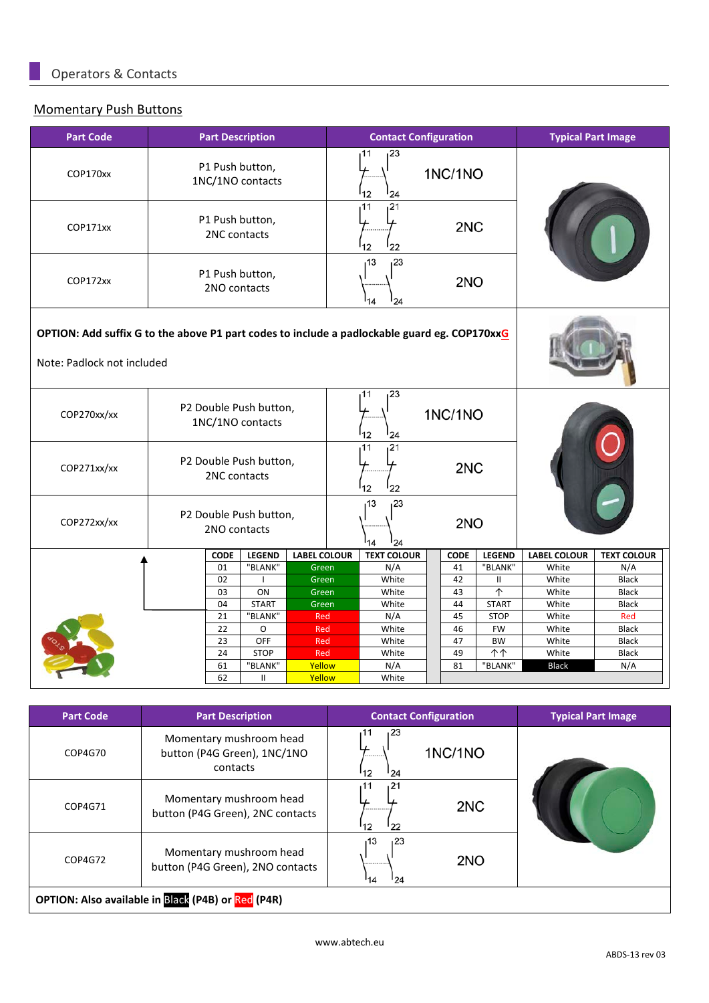#### Momentary Push Buttons

| <b>Part Code</b>                                                                                                           |                                        |                                                         | <b>Part Description</b>                    |                     |  | <b>Contact Configuration</b> |         |             |                               | <b>Typical Part Image</b> |                              |  |
|----------------------------------------------------------------------------------------------------------------------------|----------------------------------------|---------------------------------------------------------|--------------------------------------------|---------------------|--|------------------------------|---------|-------------|-------------------------------|---------------------------|------------------------------|--|
| COP170xx                                                                                                                   |                                        |                                                         | P1 Push button,<br>1NC/1NO contacts        |                     |  | 23،<br>11<br>12<br>24        | 1NC/1NO |             |                               |                           |                              |  |
| COP171xx                                                                                                                   |                                        | 21<br>11<br>P1 Push button,<br>2NC contacts<br>12<br>22 |                                            |                     |  |                              |         | 2NC         |                               |                           |                              |  |
| COP172xx                                                                                                                   |                                        | 2NO contacts                                            | P1 Push button,                            |                     |  | 13،<br>23<br>14<br>24        |         | 2NO         |                               |                           |                              |  |
| OPTION: Add suffix G to the above P1 part codes to include a padlockable guard eg. COP170xxG<br>Note: Padlock not included |                                        |                                                         |                                            |                     |  |                              |         |             |                               |                           |                              |  |
| COP270xx/xx                                                                                                                |                                        |                                                         | P2 Double Push button,<br>1NC/1NO contacts |                     |  | 23 <br>11<br>12<br>24        | 1NC/1NO |             |                               |                           |                              |  |
| COP271xx/xx                                                                                                                | P2 Double Push button,<br>2NC contacts |                                                         |                                            |                     |  | 21،<br>11<br>12<br>22        |         | 2NC         |                               |                           |                              |  |
| COP272xx/xx                                                                                                                |                                        | P2 Double Push button,<br>2NO contacts                  |                                            |                     |  | 13،<br>23<br>14<br>24        |         | 2NO         |                               |                           |                              |  |
|                                                                                                                            |                                        | <b>CODE</b>                                             | <b>LEGEND</b>                              | <b>LABEL COLOUR</b> |  | <b>TEXT COLOUR</b>           |         | <b>CODE</b> | <b>LEGEND</b>                 | <b>LABEL COLOUR</b>       | <b>TEXT COLOUR</b>           |  |
|                                                                                                                            |                                        | 01                                                      | "BLANK"                                    | Green               |  | N/A                          |         | 41          | "BLANK"                       | White                     | N/A                          |  |
|                                                                                                                            |                                        | 02<br>03                                                | ON                                         | Green<br>Green      |  | White<br>White               |         | 42<br>43    | $\mathbf{H}$<br>个             | White<br>White            | <b>Black</b><br><b>Black</b> |  |
|                                                                                                                            |                                        | 04                                                      | <b>START</b>                               | Green               |  | White                        |         | 44          | <b>START</b>                  | White                     | <b>Black</b>                 |  |
|                                                                                                                            |                                        | 21                                                      | "BLANK"                                    | <b>Red</b>          |  | N/A                          |         | 45          | <b>STOP</b>                   | White                     | Red                          |  |
|                                                                                                                            |                                        | 22                                                      | O                                          | Red                 |  | White                        |         | 46          | <b>FW</b>                     | White                     | <b>Black</b>                 |  |
|                                                                                                                            |                                        | 23                                                      | OFF                                        | Red                 |  | White                        |         | 47          | <b>BW</b>                     | White                     | <b>Black</b>                 |  |
|                                                                                                                            |                                        | 24                                                      | <b>STOP</b>                                | Red                 |  | White                        |         | 49          | $\overline{\uparrow\uparrow}$ | White                     | <b>Black</b>                 |  |
|                                                                                                                            |                                        | 61<br>62                                                | "BLANK"                                    | Yellow              |  | N/A                          |         | 81          | "BLANK"                       | <b>Black</b>              | N/A                          |  |
|                                                                                                                            |                                        |                                                         | Ш                                          | Yellow              |  | White                        |         |             |                               |                           |                              |  |

| <b>Part Code</b> | <b>Part Description</b>                                            | <b>Contact Configuration</b>            | <b>Typical Part Image</b> |
|------------------|--------------------------------------------------------------------|-----------------------------------------|---------------------------|
| COP4G70          | Momentary mushroom head<br>button (P4G Green), 1NC/1NO<br>contacts | 23ء<br><b>1NC/1NO</b><br><br>'12<br>124 |                           |
| COP4G71          | Momentary mushroom head<br>button (P4G Green), 2NC contacts        | 121<br>2NC<br><br>122<br>'12            |                           |
| COP4G72          | Momentary mushroom head<br>button (P4G Green), 2NO contacts        | 13،<br>123<br>2NO<br><br>'14<br>124     |                           |
|                  | OPTION: Also available in Black (P4B) or Red (P4R)                 |                                         |                           |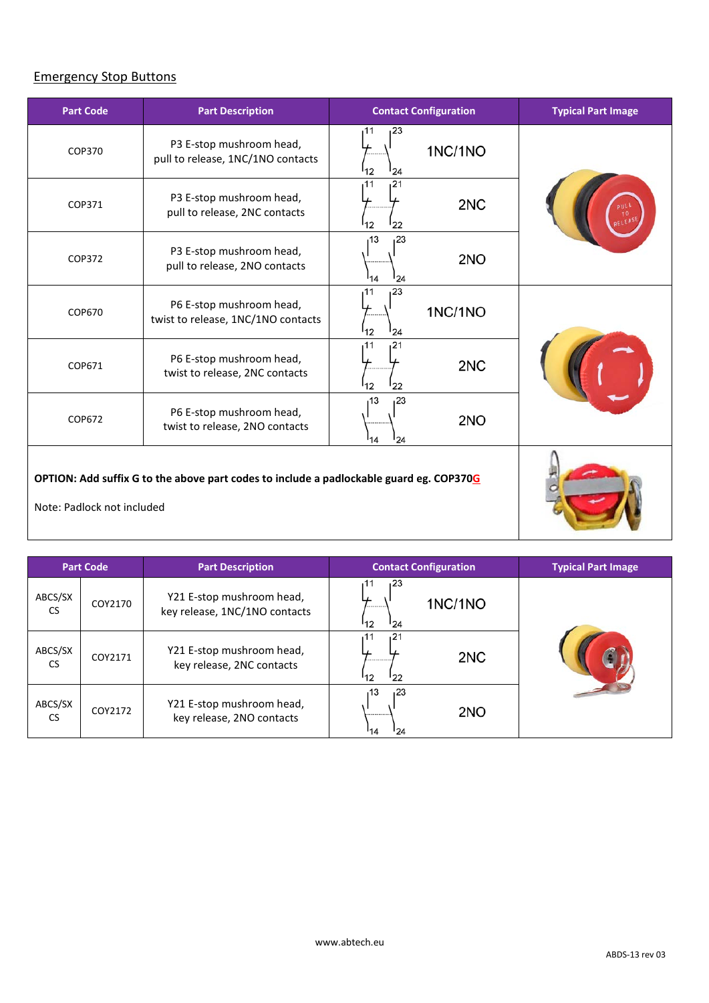# Emergency Stop Buttons

| <b>Part Code</b>                                                                                                      | <b>Part Description</b>                                        | <b>Contact Configuration</b>                  | <b>Typical Part Image</b> |
|-----------------------------------------------------------------------------------------------------------------------|----------------------------------------------------------------|-----------------------------------------------|---------------------------|
| COP370                                                                                                                | P3 E-stop mushroom head,<br>pull to release, 1NC/1NO contacts  | 123<br>11،<br>1NC/1NO<br><sup>1</sup> 2<br>24 |                           |
| COP371                                                                                                                | P3 E-stop mushroom head,<br>pull to release, 2NC contacts      | 11،<br>121<br>2NC<br>12<br>22                 |                           |
| COP372                                                                                                                | P3 E-stop mushroom head,<br>pull to release, 2NO contacts      | 13<br>23،<br>2NO<br>14<br>24                  |                           |
| COP670                                                                                                                | P6 E-stop mushroom head,<br>twist to release, 1NC/1NO contacts | 123<br>11<br>1NC/1NO<br><sup>1</sup> 12<br>24 |                           |
| COP671                                                                                                                | P6 E-stop mushroom head,<br>twist to release, 2NC contacts     | 121<br>11،<br>2NC<br><sup>12</sup><br>22      |                           |
| COP672                                                                                                                | P6 E-stop mushroom head,<br>twist to release, 2NO contacts     | 13،<br>23،<br>2NO<br>124<br>14                |                           |
| OPTION: Add suffix G to the above part codes to include a padlockable guard eg. COP370G<br>Note: Padlock not included |                                                                |                                               |                           |

| <b>Part Code</b>     |         | <b>Part Description</b>                                    | <b>Contact Configuration</b>                   | <b>Typical Part Image</b> |
|----------------------|---------|------------------------------------------------------------|------------------------------------------------|---------------------------|
| ABCS/SX<br><b>CS</b> | COY2170 | Y21 E-stop mushroom head,<br>key release, 1NC/1NO contacts | 23ء<br>11<br><b>1NC/1NO</b><br><br>'12<br>124  |                           |
| ABCS/SX<br><b>CS</b> | COY2171 | Y21 E-stop mushroom head,<br>key release, 2NC contacts     | 121<br>11<br>2NC<br>------------<br>'12<br>122 |                           |
| ABCS/SX<br><b>CS</b> | COY2172 | Y21 E-stop mushroom head,<br>key release, 2NO contacts     | 123<br>13<br>2NO<br><br>124<br>114             |                           |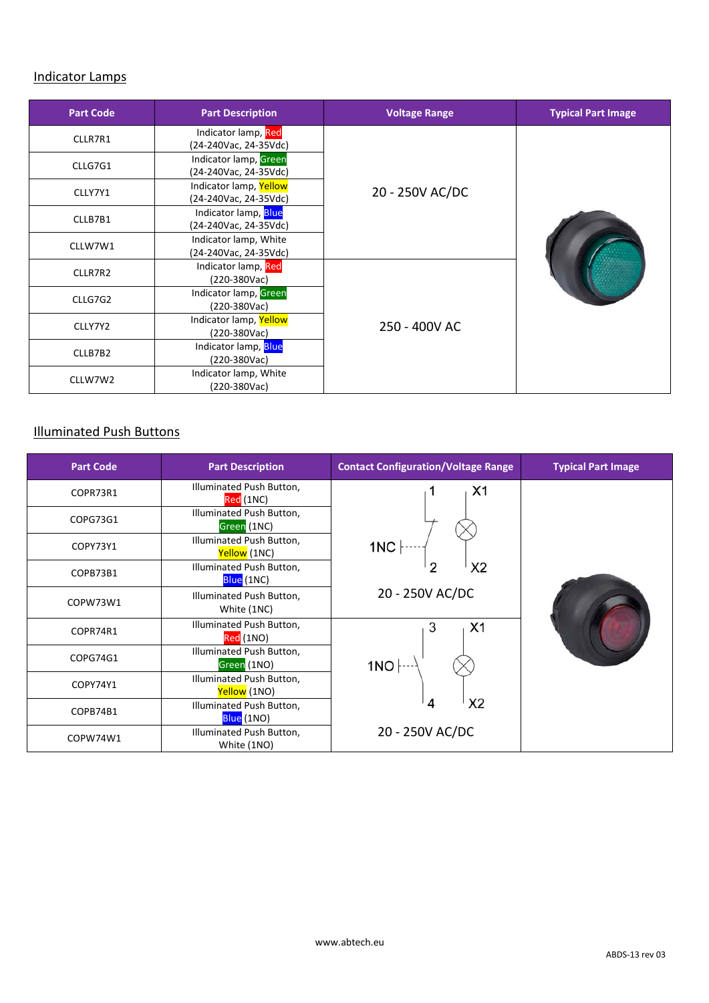#### Indicator Lamps

| <b>Part Code</b> | <b>Part Description</b>                         | <b>Voltage Range</b> | <b>Typical Part Image</b> |  |  |
|------------------|-------------------------------------------------|----------------------|---------------------------|--|--|
| CLLR7R1          | Indicator lamp, Red<br>(24-240Vac, 24-35Vdc)    |                      |                           |  |  |
| CLLG7G1          | Indicator lamp, Green<br>(24-240Vac, 24-35Vdc)  |                      |                           |  |  |
| CLLY7Y1          | Indicator lamp, Yellow<br>(24-240Vac, 24-35Vdc) | 20 - 250V AC/DC      |                           |  |  |
| CLLB7B1          | Indicator lamp, Blue<br>(24-240Vac, 24-35Vdc)   |                      |                           |  |  |
| CLLW7W1          | Indicator lamp, White<br>(24-240Vac, 24-35Vdc)  |                      |                           |  |  |
| CLLR7R2          | Indicator lamp, Red<br>(220-380Vac)             |                      |                           |  |  |
| CLLG7G2          | Indicator lamp, Green<br>(220-380Vac)           |                      |                           |  |  |
| CLLY7Y2          | Indicator lamp, Yellow<br>(220-380Vac)          | 250 - 400V AC        |                           |  |  |
| CLLB7B2          | Indicator lamp, Blue<br>(220-380Vac)            |                      |                           |  |  |
| CLLW7W2          | Indicator lamp, White<br>(220-380Vac)           |                      |                           |  |  |

# Illuminated Push Buttons

| <b>Part Code</b> | <b>Part Description</b>                  | <b>Typical Part Image</b> |  |
|------------------|------------------------------------------|---------------------------|--|
| COPR73R1         | Illuminated Push Button,<br>Red (1NC)    | X <sub>1</sub>            |  |
| COPG73G1         | Illuminated Push Button,<br>Green (1NC)  |                           |  |
| COPY73Y1         | Illuminated Push Button,<br>Yellow (1NC) | 1NC                       |  |
| COPB73B1         | Illuminated Push Button,<br>Blue (1NC)   | X <sub>2</sub><br>2       |  |
| COPW73W1         | Illuminated Push Button,<br>White (1NC)  | 20 - 250V AC/DC           |  |
| COPR74R1         | Illuminated Push Button,<br>Red (1NO)    | 3<br>X <sub>1</sub>       |  |
| COPG74G1         | Illuminated Push Button,<br>Green (1NO)  | 1NO                       |  |
| COPY74Y1         | Illuminated Push Button,<br>Yellow (1NO) |                           |  |
| COPB74B1         | Illuminated Push Button,<br>Blue (1NO)   | X <sub>2</sub><br>4       |  |
| COPW74W1         | Illuminated Push Button,<br>White (1NO)  | 20 - 250V AC/DC           |  |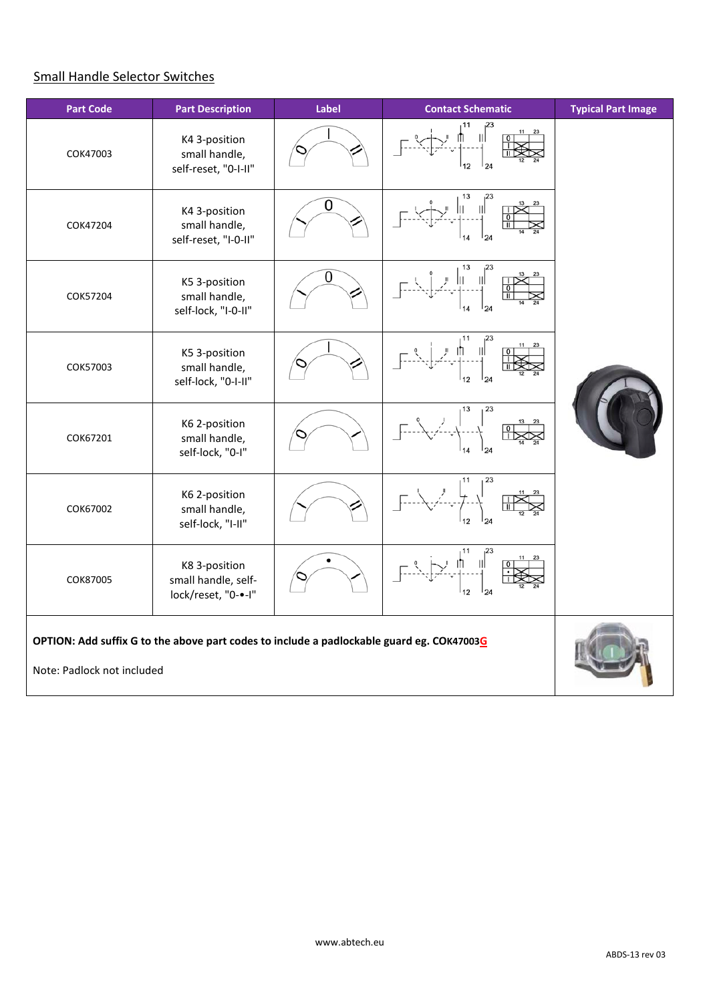# Small Handle Selector Switches

| <b>Part Code</b>                                                                                                        | <b>Part Description</b>                                     | Label | <b>Contact Schematic</b> | <b>Typical Part Image</b> |
|-------------------------------------------------------------------------------------------------------------------------|-------------------------------------------------------------|-------|--------------------------|---------------------------|
| COK47003                                                                                                                | K4 3-position<br>small handle,<br>self-reset, "0-I-II"      |       | 24                       |                           |
| COK47204                                                                                                                | K4 3-position<br>small handle,<br>self-reset, "I-0-II"      | 0     | 13                       |                           |
| COK57204                                                                                                                | K5 3-position<br>small handle,<br>self-lock, "I-0-II"       | 0     | 13<br>24                 |                           |
| COK57003                                                                                                                | K5 3-position<br>small handle,<br>self-lock, "0-I-II"       |       | 124<br>12                |                           |
| COK67201                                                                                                                | K6 2-position<br>small handle,<br>self-lock, "0-I"          |       | 23<br>13                 |                           |
| COK67002                                                                                                                | K6 2-position<br>small handle,<br>self-lock, "I-II"         |       | 23                       |                           |
| COK87005                                                                                                                | K8 3-position<br>small handle, self-<br>lock/reset, "0-•-I" |       | 12                       |                           |
| OPTION: Add suffix G to the above part codes to include a padlockable guard eg. COK47003G<br>Note: Padlock not included |                                                             |       |                          |                           |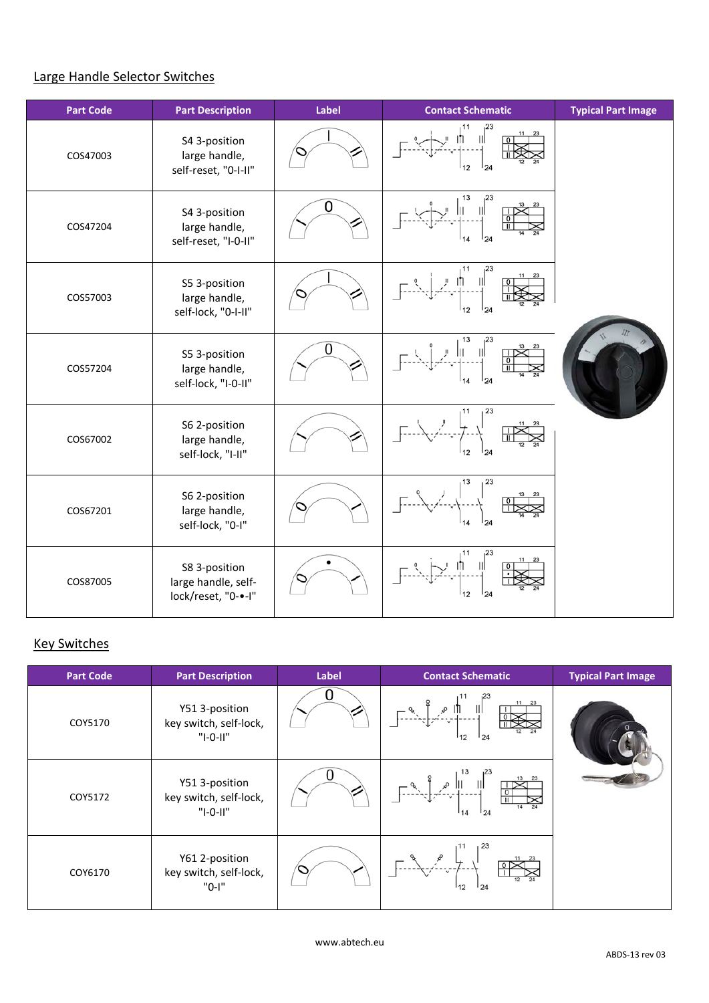# Large Handle Selector Switches

| <b>Part Code</b> | <b>Part Description</b>                                     | Label | <b>Contact Schematic</b> | <b>Typical Part Image</b> |
|------------------|-------------------------------------------------------------|-------|--------------------------|---------------------------|
| COS47003         | S4 3-position<br>large handle,<br>self-reset, "0-I-II"      |       | 23<br>12<br>124          |                           |
| COS47204         | S4 3-position<br>large handle,<br>self-reset, "I-0-II"      | 0     | 13<br>23<br>124<br>14    |                           |
| COS57003         | S5 3-position<br>large handle,<br>self-lock, "0-I-II"       |       | 124<br>12                |                           |
| COS57204         | S5 3-position<br>large handle,<br>self-lock, "I-0-II"       | 0     | 13<br>23<br>Ш<br>24      |                           |
| COS67002         | S6 2-position<br>large handle,<br>self-lock, "I-II"         |       | 23<br>11<br>24           |                           |
| COS67201         | S6 2-position<br>large handle,<br>self-lock, "0-I"          |       | 23<br>13<br>124          |                           |
| COS87005         | S8 3-position<br>large handle, self-<br>lock/reset, "0-•-I" |       | 23<br>12<br>124          |                           |

## **Key Switches**

| <b>Part Code</b> | <b>Part Description</b>                                | Label | <b>Contact Schematic</b>                                                                                                                                                                                  | <b>Typical Part Image</b> |
|------------------|--------------------------------------------------------|-------|-----------------------------------------------------------------------------------------------------------------------------------------------------------------------------------------------------------|---------------------------|
| COY5170          | Y51 3-position<br>key switch, self-lock,<br>$"I-O-II"$ |       | 11 23<br>¶ا ھ<br>-- -ب--ُمر <sub>:</sub><br>124<br>112                                                                                                                                                    |                           |
| COY5172          | Y51 3-position<br>key switch, self-lock,<br>"I-0-II"   |       | $\begin{array}{c} \begin{array}{c} \begin{array}{c} \mathcal{M} \\ \mathcal{M} \end{array} \\ \hline \begin{array}{c} \mathcal{M} \end{array} \\ \hline \end{array} \end{array} \end{array}$<br>124<br>14 |                           |
| COY6170          | Y61 2-position<br>key switch, self-lock,<br>"0-I"      |       | 124<br>12                                                                                                                                                                                                 |                           |